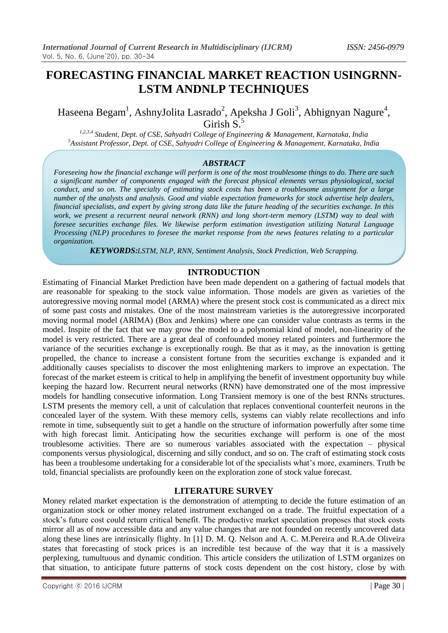# **FORECASTING FINANCIAL MARKET REACTION USINGRNN-LSTM ANDNLP TECHNIQUES**

Haseena Begam<sup>1</sup>, AshnyJolita Lasrado<sup>2</sup>, Apeksha J Goli<sup>3</sup>, Abhignyan Nagure<sup>4</sup>, Girish S.<sup>5</sup>

*1,2,3,4 Student, Dept. of CSE, Sahyadri College of Engineering & Management, Karnataka, India <sup>5</sup>Assistant Professor, Dept. of CSE, Sahyadri College of Engineering & Management, Karnataka, India*

### *ABSTRACT*

*Foreseeing how the financial exchange will perform is one of the most troublesome things to do. There are such a significant number of components engaged with the forecast physical elements versus physiological, social conduct, and so on. The specialty of estimating stock costs has been a troublesome assignment for a large number of the analysts and analysis. Good and viable expectation frameworks for stock advertise help dealers, financial specialists, and expert by giving strong data like the future heading of the securities exchange. In this work, we present a recurrent neural network (RNN) and long short-term memory (LSTM) way to deal with foresee securities exchange files. We likewise perform estimation investigation utilizing Natural Language Processing (NLP) procedures to foresee the market response from the news features relating to a particular organization.*

*KEYWORDS:LSTM, NLP, RNN, Sentiment Analysis, Stock Prediction, Web Scrapping.*

### **INTRODUCTION**

Estimating of Financial Market Prediction have been made dependent on a gathering of factual models that are reasonable for speaking to the stock value information. Those models are given as varieties of the autoregressive moving normal model (ARMA) where the present stock cost is communicated as a direct mix of some past costs and mistakes. One of the most mainstream varieties is the autoregressive incorporated moving normal model (ARIMA) (Box and Jenkins) where one can consider value contrasts as terms in the model. Inspite of the fact that we may grow the model to a polynomial kind of model, non-linearity of the model is very restricted. There are a great deal of confounded money related pointers and furthermore the variance of the securities exchange is exceptionally rough. Be that as it may, as the innovation is getting propelled, the chance to increase a consistent fortune from the securities exchange is expanded and it additionally causes specialists to discover the most enlightening markers to improve an expectation. The forecast of the market esteem is critical to help in amplifying the benefit of investment opportunity buy while keeping the hazard low. Recurrent neural networks (RNN) have demonstrated one of the most impressive models for handling consecutive information. Long Transient memory is one of the best RNNs structures. LSTM presents the memory cell, a unit of calculation that replaces conventional counterfeit neurons in the concealed layer of the system. With these memory cells, systems can viably relate recollections and info remote in time, subsequently suit to get a handle on the structure of information powerfully after some time with high forecast limit. Anticipating how the securities exchange will perform is one of the most troublesome activities. There are so numerous variables associated with the expectation – physical components versus physiological, discerning and silly conduct, and so on. The craft of estimating stock costs has been a troublesome undertaking for a considerable lot of the specialists what's more, examiners. Truth be told, financial specialists are profoundly keen on the exploration zone of stock value forecast.

### **LITERATURE SURVEY**

Money related market expectation is the demonstration of attempting to decide the future estimation of an organization stock or other money related instrument exchanged on a trade. The fruitful expectation of a stock's future cost could return critical benefit. The productive market speculation proposes that stock costs mirror all as of now accessible data and any value changes that are not founded on recently uncovered data along these lines are intrinsically flighty. In [1] D. M. Q. Nelson and A. C. M.Pereira and R.A.de Oliveira states that forecasting of stock prices is an incredible test because of the way that it is a massively perplexing, tumultuous and dynamic condition. This article considers the utilization of LSTM organizes on that situation, to anticipate future patterns of stock costs dependent on the cost history, close by with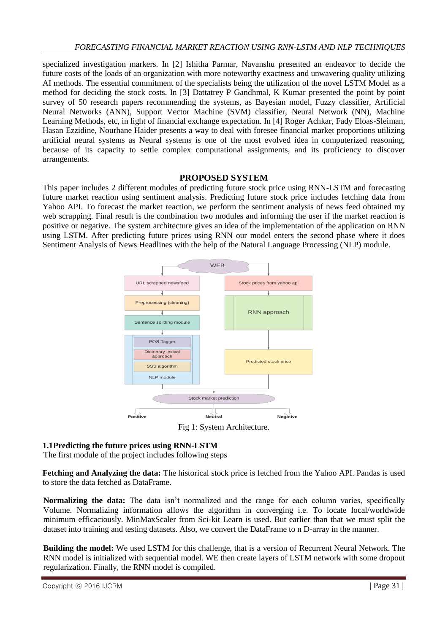specialized investigation markers. In [2] Ishitha Parmar, Navanshu presented an endeavor to decide the future costs of the loads of an organization with more noteworthy exactness and unwavering quality utilizing AI methods. The essential commitment of the specialists being the utilization of the novel LSTM Model as a method for deciding the stock costs. In [3] Dattatrey P Gandhmal, K Kumar presented the point by point survey of 50 research papers recommending the systems, as Bayesian model, Fuzzy classifier, Artificial Neural Networks (ANN), Support Vector Machine (SVM) classifier, Neural Network (NN), Machine Learning Methods, etc, in light of financial exchange expectation. In [4] Roger Achkar, Fady Eloas-Sleiman, Hasan Ezzidine, Nourhane Haider presents a way to deal with foresee financial market proportions utilizing artificial neural systems as Neural systems is one of the most evolved idea in computerized reasoning, because of its capacity to settle complex computational assignments, and its proficiency to discover arrangements.

## **PROPOSED SYSTEM**

This paper includes 2 different modules of predicting future stock price using RNN-LSTM and forecasting future market reaction using sentiment analysis. Predicting future stock price includes fetching data from Yahoo API. To forecast the market reaction, we perform the sentiment analysis of news feed obtained my web scrapping. Final result is the combination two modules and informing the user if the market reaction is positive or negative. The system architecture gives an idea of the implementation of the application on RNN using LSTM. After predicting future prices using RNN our model enters the second phase where it does Sentiment Analysis of News Headlines with the help of the Natural Language Processing (NLP) module.



Fig 1: System Architecture.

## **1.1Predicting the future prices using RNN-LSTM**

The first module of the project includes following steps

**Fetching and Analyzing the data:** The historical stock price is fetched from the Yahoo API. Pandas is used to store the data fetched as DataFrame.

**Normalizing the data:** The data isn't normalized and the range for each column varies, specifically Volume. Normalizing information allows the algorithm in converging i.e. To locate local/worldwide minimum efficaciously. MinMaxScaler from Sci-kit Learn is used. But earlier than that we must split the dataset into training and testing datasets. Also, we convert the DataFrame to n D-array in the manner.

**Building the model:** We used LSTM for this challenge, that is a version of Recurrent Neural Network. The RNN model is initialized with sequential model. WE then create layers of LSTM network with some dropout regularization. Finally, the RNN model is compiled.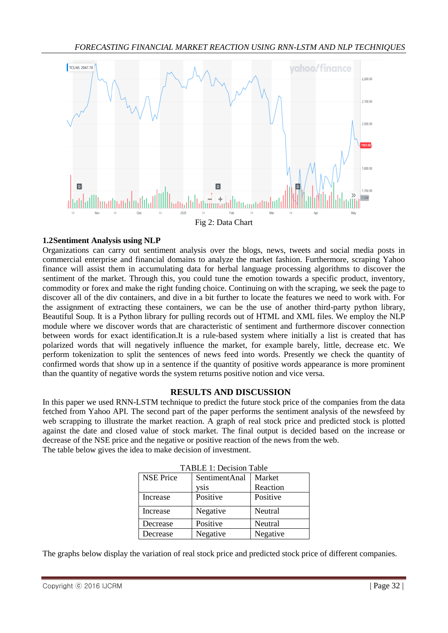

### **1.2Sentiment Analysis using NLP**

Organizations can carry out sentiment analysis over the blogs, news, tweets and social media posts in commercial enterprise and financial domains to analyze the market fashion. Furthermore, scraping Yahoo finance will assist them in accumulating data for herbal language processing algorithms to discover the sentiment of the market. Through this, you could tune the emotion towards a specific product, inventory, commodity or forex and make the right funding choice. Continuing on with the scraping, we seek the page to discover all of the div containers, and dive in a bit further to locate the features we need to work with. For the assignment of extracting these containers, we can be the use of another third-party python library, Beautiful Soup. It is a Python library for pulling records out of HTML and XML files. We employ the NLP module where we discover words that are characteristic of sentiment and furthermore discover connection between words for exact identification.It is a rule-based system where initially a list is created that has polarized words that will negatively influence the market, for example barely, little, decrease etc. We perform tokenization to split the sentences of news feed into words. Presently we check the quantity of confirmed words that show up in a sentence if the quantity of positive words appearance is more prominent than the quantity of negative words the system returns positive notion and vice versa.

### **RESULTS AND DISCUSSION**

In this paper we used RNN-LSTM technique to predict the future stock price of the companies from the data fetched from Yahoo API. The second part of the paper performs the sentiment analysis of the newsfeed by web scrapping to illustrate the market reaction. A graph of real stock price and predicted stock is plotted against the date and closed value of stock market. The final output is decided based on the increase or decrease of the NSE price and the negative or positive reaction of the news from the web. The table below gives the idea to make decision of investment.

| TABLE 1: Decision Table |               |          |
|-------------------------|---------------|----------|
| <b>NSE Price</b>        | SentimentAnal | Market   |
|                         | ysis          | Reaction |
| Increase                | Positive      | Positive |
| Increase                | Negative      | Neutral  |
| Decrease                | Positive      | Neutral  |
| Decrease                | Negative      | Negative |

The graphs below display the variation of real stock price and predicted stock price of different companies.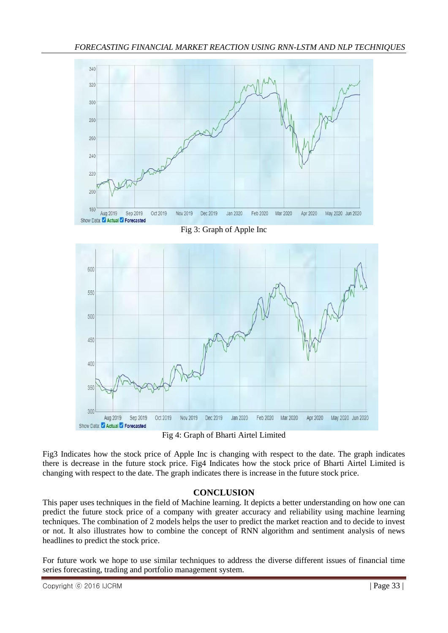

Fig 3: Graph of Apple Inc



Fig 4: Graph of Bharti Airtel Limited

Fig3 Indicates how the stock price of Apple Inc is changing with respect to the date. The graph indicates there is decrease in the future stock price. Fig4 Indicates how the stock price of Bharti Airtel Limited is changing with respect to the date. The graph indicates there is increase in the future stock price.

# **CONCLUSION**

This paper uses techniques in the field of Machine learning. It depicts a better understanding on how one can predict the future stock price of a company with greater accuracy and reliability using machine learning techniques. The combination of 2 models helps the user to predict the market reaction and to decide to invest or not. It also illustrates how to combine the concept of RNN algorithm and sentiment analysis of news headlines to predict the stock price.

For future work we hope to use similar techniques to address the diverse different issues of financial time series forecasting, trading and portfolio management system.